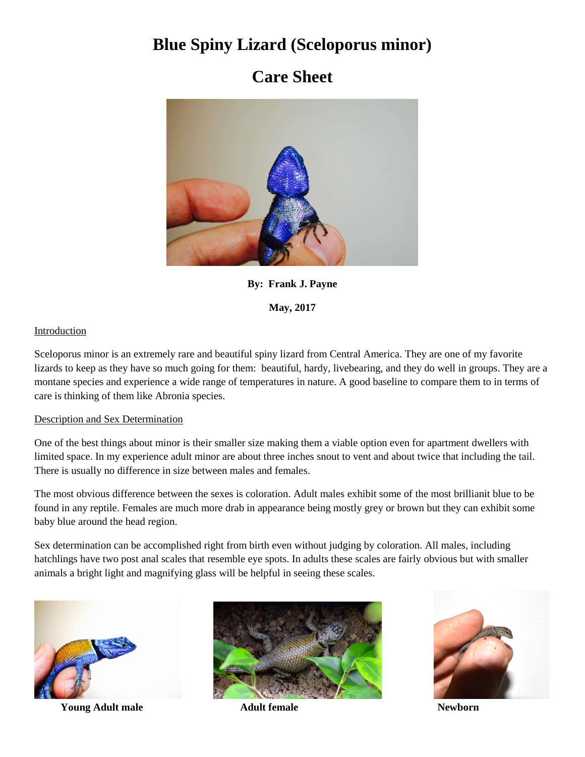# **Blue Spiny Lizard (Sceloporus minor)**

# **Care Sheet**



**By: Frank J. Payne**

**May, 2017**

## Introduction

Sceloporus minor is an extremely rare and beautiful spiny lizard from Central America. They are one of my favorite lizards to keep as they have so much going for them: beautiful, hardy, livebearing, and they do well in groups. They are a montane species and experience a wide range of temperatures in nature. A good baseline to compare them to in terms of care is thinking of them like Abronia species.

### Description and Sex Determination

One of the best things about minor is their smaller size making them a viable option even for apartment dwellers with limited space. In my experience adult minor are about three inches snout to vent and about twice that including the tail. There is usually no difference in size between males and females.

The most obvious difference between the sexes is coloration. Adult males exhibit some of the most brillianit blue to be found in any reptile. Females are much more drab in appearance being mostly grey or brown but they can exhibit some baby blue around the head region.

Sex determination can be accomplished right from birth even without judging by coloration. All males, including hatchlings have two post anal scales that resemble eye spots. In adults these scales are fairly obvious but with smaller animals a bright light and magnifying glass will be helpful in seeing these scales.



**Young Adult male** Adult female Newborn



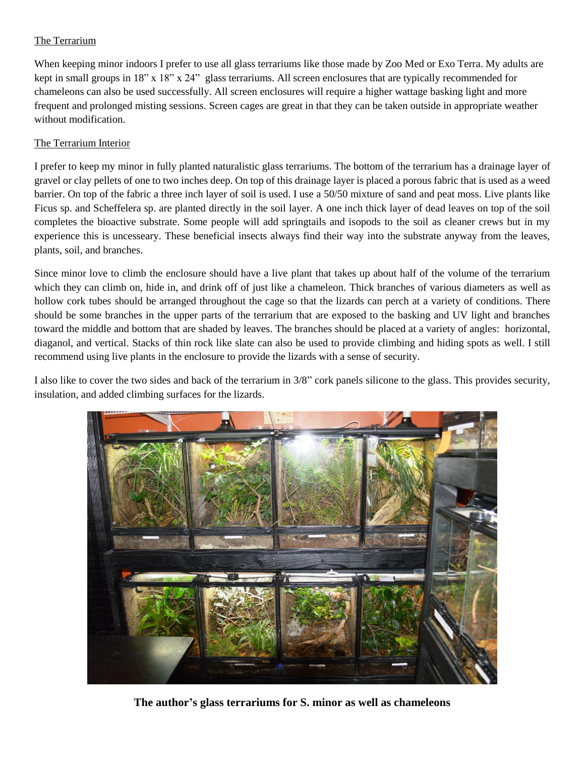## The Terrarium

When keeping minor indoors I prefer to use all glass terrariums like those made by Zoo Med or Exo Terra. My adults are kept in small groups in 18" x 18" x 24" glass terrariums. All screen enclosures that are typically recommended for chameleons can also be used successfully. All screen enclosures will require a higher wattage basking light and more frequent and prolonged misting sessions. Screen cages are great in that they can be taken outside in appropriate weather without modification.

### The Terrarium Interior

I prefer to keep my minor in fully planted naturalistic glass terrariums. The bottom of the terrarium has a drainage layer of gravel or clay pellets of one to two inches deep. On top of this drainage layer is placed a porous fabric that is used as a weed barrier. On top of the fabric a three inch layer of soil is used. I use a 50/50 mixture of sand and peat moss. Live plants like Ficus sp. and Scheffelera sp. are planted directly in the soil layer. A one inch thick layer of dead leaves on top of the soil completes the bioactive substrate. Some people will add springtails and isopods to the soil as cleaner crews but in my experience this is uncesseary. These beneficial insects always find their way into the substrate anyway from the leaves, plants, soil, and branches.

Since minor love to climb the enclosure should have a live plant that takes up about half of the volume of the terrarium which they can climb on, hide in, and drink off of just like a chameleon. Thick branches of various diameters as well as hollow cork tubes should be arranged throughout the cage so that the lizards can perch at a variety of conditions. There should be some branches in the upper parts of the terrarium that are exposed to the basking and UV light and branches toward the middle and bottom that are shaded by leaves. The branches should be placed at a variety of angles: horizontal, diaganol, and vertical. Stacks of thin rock like slate can also be used to provide climbing and hiding spots as well. I still recommend using live plants in the enclosure to provide the lizards with a sense of security.

I also like to cover the two sides and back of the terrarium in 3/8" cork panels silicone to the glass. This provides security, insulation, and added climbing surfaces for the lizards.



**The author's glass terrariums for S. minor as well as chameleons**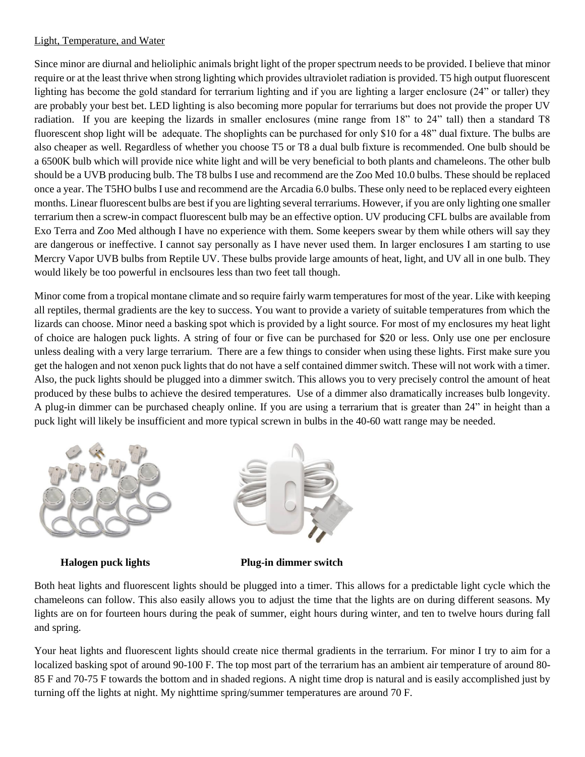### Light, Temperature, and Water

Since minor are diurnal and helioliphic animals bright light of the proper spectrum needs to be provided. I believe that minor require or at the least thrive when strong lighting which provides ultraviolet radiation is provided. T5 high output fluorescent lighting has become the gold standard for terrarium lighting and if you are lighting a larger enclosure (24" or taller) they are probably your best bet. LED lighting is also becoming more popular for terrariums but does not provide the proper UV radiation. If you are keeping the lizards in smaller enclosures (mine range from 18" to 24" tall) then a standard T8 fluorescent shop light will be adequate. The shoplights can be purchased for only \$10 for a 48" dual fixture. The bulbs are also cheaper as well. Regardless of whether you choose T5 or T8 a dual bulb fixture is recommended. One bulb should be a 6500K bulb which will provide nice white light and will be very beneficial to both plants and chameleons. The other bulb should be a UVB producing bulb. The T8 bulbs I use and recommend are the Zoo Med 10.0 bulbs. These should be replaced once a year. The T5HO bulbs I use and recommend are the Arcadia 6.0 bulbs. These only need to be replaced every eighteen months. Linear fluorescent bulbs are best if you are lighting several terrariums. However, if you are only lighting one smaller terrarium then a screw-in compact fluorescent bulb may be an effective option. UV producing CFL bulbs are available from Exo Terra and Zoo Med although I have no experience with them. Some keepers swear by them while others will say they are dangerous or ineffective. I cannot say personally as I have never used them. In larger enclosures I am starting to use Mercry Vapor UVB bulbs from Reptile UV. These bulbs provide large amounts of heat, light, and UV all in one bulb. They would likely be too powerful in enclsoures less than two feet tall though.

Minor come from a tropical montane climate and so require fairly warm temperatures for most of the year. Like with keeping all reptiles, thermal gradients are the key to success. You want to provide a variety of suitable temperatures from which the lizards can choose. Minor need a basking spot which is provided by a light source. For most of my enclosures my heat light of choice are halogen puck lights. A string of four or five can be purchased for \$20 or less. Only use one per enclosure unless dealing with a very large terrarium. There are a few things to consider when using these lights. First make sure you get the halogen and not xenon puck lights that do not have a self contained dimmer switch. These will not work with a timer. Also, the puck lights should be plugged into a dimmer switch. This allows you to very precisely control the amount of heat produced by these bulbs to achieve the desired temperatures. Use of a dimmer also dramatically increases bulb longevity. A plug-in dimmer can be purchased cheaply online. If you are using a terrarium that is greater than 24" in height than a puck light will likely be insufficient and more typical screwn in bulbs in the 40-60 watt range may be needed.





 **Halogen puck lights Plug-in dimmer switch**

Both heat lights and fluorescent lights should be plugged into a timer. This allows for a predictable light cycle which the chameleons can follow. This also easily allows you to adjust the time that the lights are on during different seasons. My lights are on for fourteen hours during the peak of summer, eight hours during winter, and ten to twelve hours during fall and spring.

Your heat lights and fluorescent lights should create nice thermal gradients in the terrarium. For minor I try to aim for a localized basking spot of around 90-100 F. The top most part of the terrarium has an ambient air temperature of around 80- 85 F and 70-75 F towards the bottom and in shaded regions. A night time drop is natural and is easily accomplished just by turning off the lights at night. My nighttime spring/summer temperatures are around 70 F.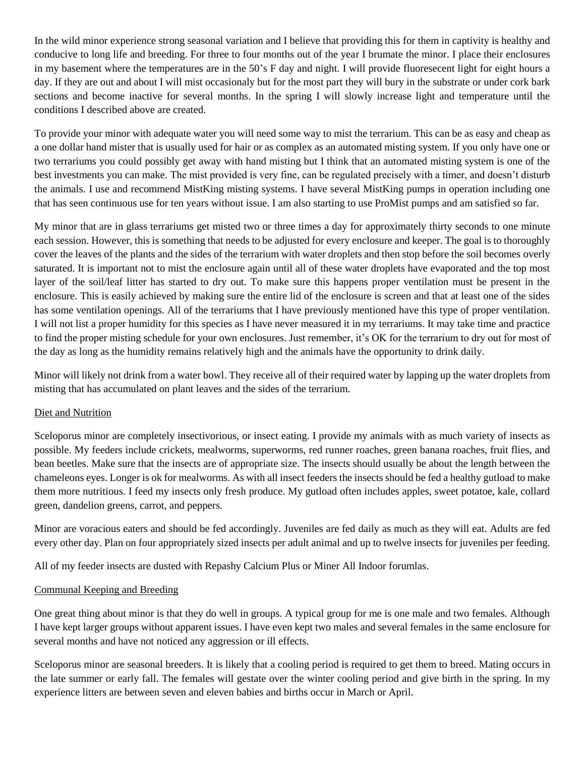In the wild minor experience strong seasonal variation and I believe that providing this for them in captivity is healthy and conducive to long life and breeding. For three to four months out of the year I brumate the minor. I place their enclosures in my basement where the temperatures are in the 50's F day and night. I will provide fluoresecent light for eight hours a day. If they are out and about I will mist occasionaly but for the most part they will bury in the substrate or under cork bark sections and become inactive for several months. In the spring I will slowly increase light and temperature until the conditions I described above are created.

To provide your minor with adequate water you will need some way to mist the terrarium. This can be as easy and cheap as a one dollar hand mister that is usually used for hair or as complex as an automated misting system. If you only have one or two terrariums you could possibly get away with hand misting but I think that an automated misting system is one of the best investments you can make. The mist provided is very fine, can be regulated precisely with a timer, and doesn't disturb the animals. I use and recommend MistKing misting systems. I have several MistKing pumps in operation including one that has seen continuous use for ten years without issue. I am also starting to use ProMist pumps and am satisfied so far.

My minor that are in glass terrariums get misted two or three times a day for approximately thirty seconds to one minute each session. However, this is something that needs to be adjusted for every enclosure and keeper. The goal is to thoroughly cover the leaves of the plants and the sides of the terrarium with water droplets and then stop before the soil becomes overly saturated. It is important not to mist the enclosure again until all of these water droplets have evaporated and the top most layer of the soil/leaf litter has started to dry out. To make sure this happens proper ventilation must be present in the enclosure. This is easily achieved by making sure the entire lid of the enclosure is screen and that at least one of the sides has some ventilation openings. All of the terrariums that I have previously mentioned have this type of proper ventilation. I will not list a proper humidity for this species as I have never measured it in my terrariums. It may take time and practice to find the proper misting schedule for your own enclosures. Just remember, it's OK for the terrarium to dry out for most of the day as long as the humidity remains relatively high and the animals have the opportunity to drink daily.

Minor will likely not drink from a water bowl. They receive all of their required water by lapping up the water droplets from misting that has accumulated on plant leaves and the sides of the terrarium.

### Diet and Nutrition

Sceloporus minor are completely insectivorious, or insect eating. I provide my animals with as much variety of insects as possible. My feeders include crickets, mealworms, superworms, red runner roaches, green banana roaches, fruit flies, and bean beetles. Make sure that the insects are of appropriate size. The insects should usually be about the length between the chameleons eyes. Longer is ok for mealworms. As with all insect feeders the insects should be fed a healthy gutload to make them more nutritious. I feed my insects only fresh produce. My gutload often includes apples, sweet potatoe, kale, collard green, dandelion greens, carrot, and peppers.

Minor are voracious eaters and should be fed accordingly. Juveniles are fed daily as much as they will eat. Adults are fed every other day. Plan on four appropriately sized insects per adult animal and up to twelve insects for juveniles per feeding.

All of my feeder insects are dusted with Repashy Calcium Plus or Miner All Indoor forumlas.

#### Communal Keeping and Breeding

One great thing about minor is that they do well in groups. A typical group for me is one male and two females. Although I have kept larger groups without apparent issues. I have even kept two males and several females in the same enclosure for several months and have not noticed any aggression or ill effects.

Sceloporus minor are seasonal breeders. It is likely that a cooling period is required to get them to breed. Mating occurs in the late summer or early fall. The females will gestate over the winter cooling period and give birth in the spring. In my experience litters are between seven and eleven babies and births occur in March or April.